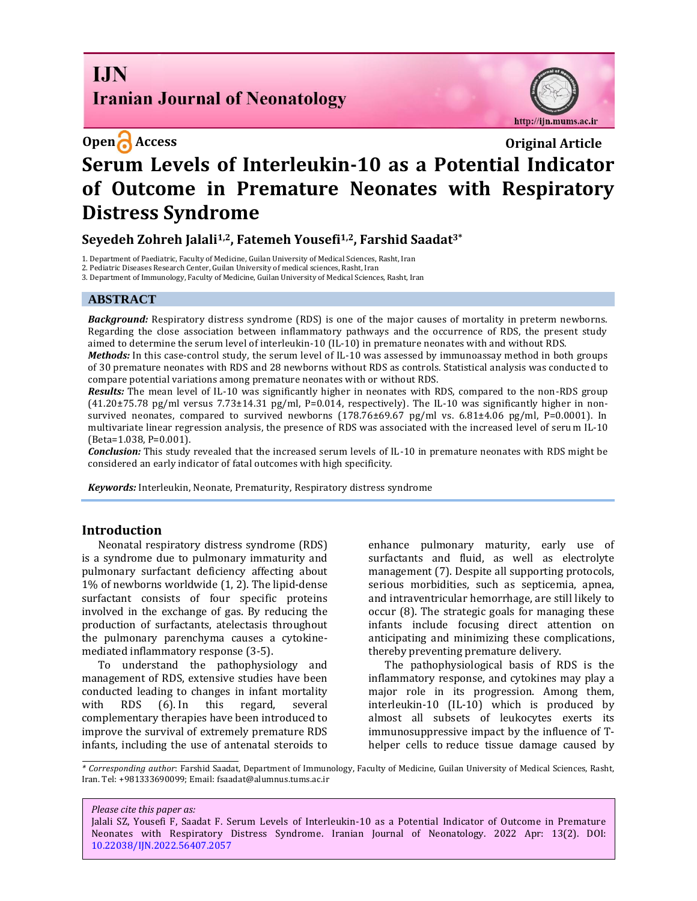# **I.IN Iranian Journal of Neonatology**

http://ijn.mums.ac.ir

# **Open Access Original Article Serum Levels of Interleukin-10 as a Potential Indicator of Outcome in Premature Neonates with Respiratory Distress Syndrome**

## **Seyedeh Zohreh Jalali1,2, Fatemeh Yousefi1,2, Farshid Saadat3\***

1. Department of Paediatric, Faculty of Medicine, Guilan University of Medical Sciences, Rasht, Iran

2. Pediatric Diseases Research Center, Guilan University of medical sciences, Rasht, Iran

3. Department of Immunology, Faculty of Medicine, Guilan University of Medical Sciences, Rasht, Iran

#### **ABSTRACT**

*Background:* Respiratory distress syndrome (RDS) is one of the major causes of mortality in preterm newborns. Regarding the close association between inflammatory pathways and the occurrence of RDS, the present study aimed to determine the serum level of interleukin-10 (IL-10) in premature neonates with and without RDS.

*Methods:* In this case-control study, the serum level of IL-10 was assessed by immunoassay method in both groups of 30 premature neonates with RDS and 28 newborns without RDS as controls. Statistical analysis was conducted to compare potential variations among premature neonates with or without RDS.

*Results:* The mean level of IL-10 was significantly higher in neonates with RDS, compared to the non-RDS group (41.20±75.78 pg/ml versus 7.73±14.31 pg/ml, P=0.014, respectively). The IL-10 was significantly higher in nonsurvived neonates, compared to survived newborns (178.76±69.67 pg/ml vs. 6.81±4.06 pg/ml, P=0.0001). In multivariate linear regression analysis, the presence of RDS was associated with the increased level of serum IL-10 (Beta=1.038, P=0.001).

*Conclusion:* This study revealed that the increased serum levels of IL-10 in premature neonates with RDS might be considered an early indicator of fatal outcomes with high specificity.

*Keywords:* Interleukin, Neonate, Prematurity, Respiratory distress syndrome

#### **Introduction**

Neonatal respiratory distress syndrome (RDS) is a syndrome due to pulmonary immaturity and pulmonary surfactant deficiency affecting about 1% of newborns worldwide (1, 2). The lipid-dense surfactant consists of four specific proteins involved in the exchange of gas. By reducing the production of surfactants, atelectasis throughout the pulmonary parenchyma causes a cytokinemediated inflammatory response (3-5).

To understand the pathophysiology and management of RDS, extensive studies have been conducted leading to changes in infant mortality with RDS (6). In this regard, several complementary therapies have been introduced to improve the survival of extremely premature RDS infants, including the use of antenatal steroids to enhance pulmonary maturity, early use of surfactants and fluid, as well as electrolyte management (7). Despite all supporting protocols, serious morbidities, such as septicemia, apnea, and intraventricular hemorrhage, are still likely to occur (8). The strategic goals for managing these infants include focusing direct attention on anticipating and minimizing these complications, thereby preventing premature delivery.

The pathophysiological basis of RDS is the inflammatory response, and cytokines may play a major role in its progression. Among them, interleukin-10 (IL-10) which is produced by almost all subsets of leukocytes exerts its immunosuppressive impact by the influence of Thelper cells to reduce tissue damage caused by

*\* Corresponding author*: Farshid Saadat, Department of Immunology, Faculty of Medicine, Guilan University of Medical Sciences, Rasht, Iran. Tel: +981333690099; Email[: fsaadat@alumnus.tums.ac.ir](mailto:fsaadat@alumnus.tums.ac.ir)

*Please cite this paper as:*

Jalali SZ, Yousefi F, Saadat F. Serum Levels of Interleukin-10 as a Potential Indicator of Outcome in Premature Neonates with Respiratory Distress Syndrome. Iranian Journal of Neonatology. 2022 Apr: 13(2). DOI: [10.22038/IJN.2022.56407.2057](https://ijn.mums.ac.ir/)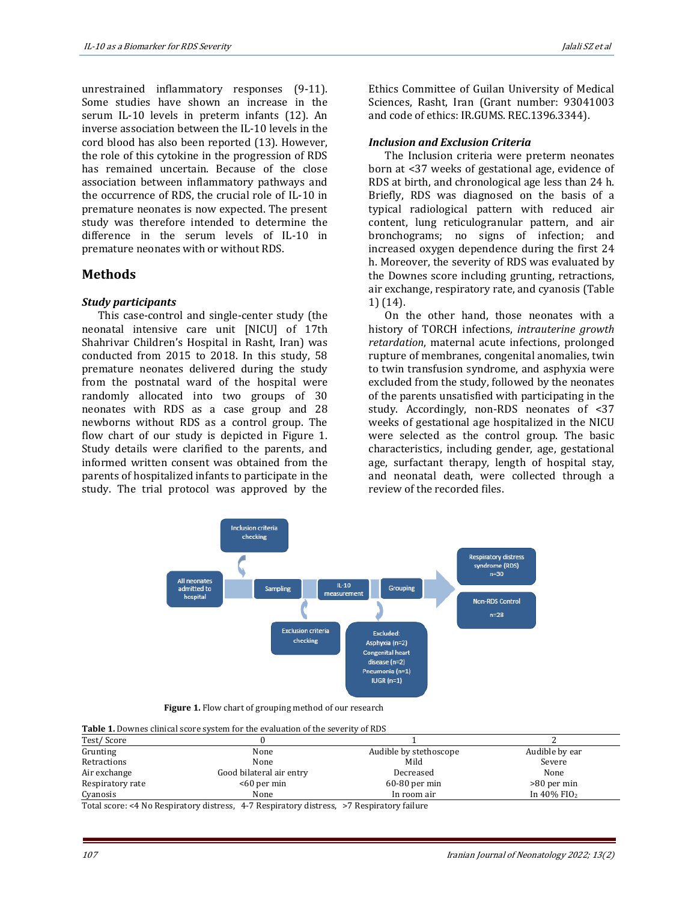unrestrained inflammatory responses (9-11). Some studies have shown an increase in the serum IL-10 levels in preterm infants (12). An inverse association between the IL-10 levels in the cord blood has also been reported (13). However, the role of this cytokine in the progression of RDS has remained uncertain. Because of the close association between inflammatory pathways and the occurrence of RDS, the crucial role of IL-10 in premature neonates is now expected. The present study was therefore intended to determine the difference in the serum levels of IL-10 in premature neonates with or without RDS.

### **Methods**

#### *Study participants*

This case-control and single-center study (the neonatal intensive care unit [NICU] of 17th Shahrivar Children's Hospital in Rasht, Iran) was conducted from 2015 to 2018. In this study, 58 premature neonates delivered during the study from the postnatal ward of the hospital were randomly allocated into two groups of 30 neonates with RDS as a case group and 28 newborns without RDS as a control group. The flow chart of our study is depicted in Figure 1. Study details were clarified to the parents, and informed written consent was obtained from the parents of hospitalized infants to participate in the study. The trial protocol was approved by the

Ethics Committee of Guilan University of Medical Sciences, Rasht, Iran (Grant number: 93041003 and code of ethics: IR.GUMS. REC.1396.3344).

#### *Inclusion and Exclusion Criteria*

The Inclusion criteria were preterm neonates born at <37 weeks of gestational age, evidence of RDS at birth, and chronological age less than 24 h. Briefly, RDS was diagnosed on the basis of a typical radiological pattern with reduced air content, lung reticulogranular pattern, and air bronchograms; no signs of infection; and increased oxygen dependence during the first 24 h. Moreover, the severity of RDS was evaluated by the Downes score including grunting, retractions, air exchange, respiratory rate, and cyanosis (Table 1) (14).

On the other hand, those neonates with a history of TORCH infections, *intrauterine growth retardation*, maternal acute infections, prolonged rupture of membranes, congenital anomalies, twin to twin transfusion syndrome, and asphyxia were excluded from the study, followed by the neonates of the parents unsatisfied with participating in the study. Accordingly, non-RDS neonates of <37 weeks of gestational age hospitalized in the NICU were selected as the control group. The basic characteristics, including gender, age, gestational age, surfactant therapy, length of hospital stay, and neonatal death, were collected through a review of the recorded files.



 **Figure 1.** Flow chart of grouping method of our research

| Table 1. Downes clinical score system for the evaluation of the severity of RDS |  |  |
|---------------------------------------------------------------------------------|--|--|

| Test/Score       |                          |                        |                            |  |  |
|------------------|--------------------------|------------------------|----------------------------|--|--|
| Grunting         | None                     | Audible by stethoscope | Audible by ear             |  |  |
| Retractions      | None                     | Mild                   | Severe                     |  |  |
| Air exchange     | Good bilateral air entry | Decreased              | None                       |  |  |
| Respiratory rate | $<$ 60 per min           | $60-80$ per min        | $>80$ per min              |  |  |
| Cyanosis         | None                     | In room air            | In $40\%$ FIO <sub>2</sub> |  |  |

Total score: <4 No Respiratory distress, 4-7 Respiratory distress, >7 Respiratory failure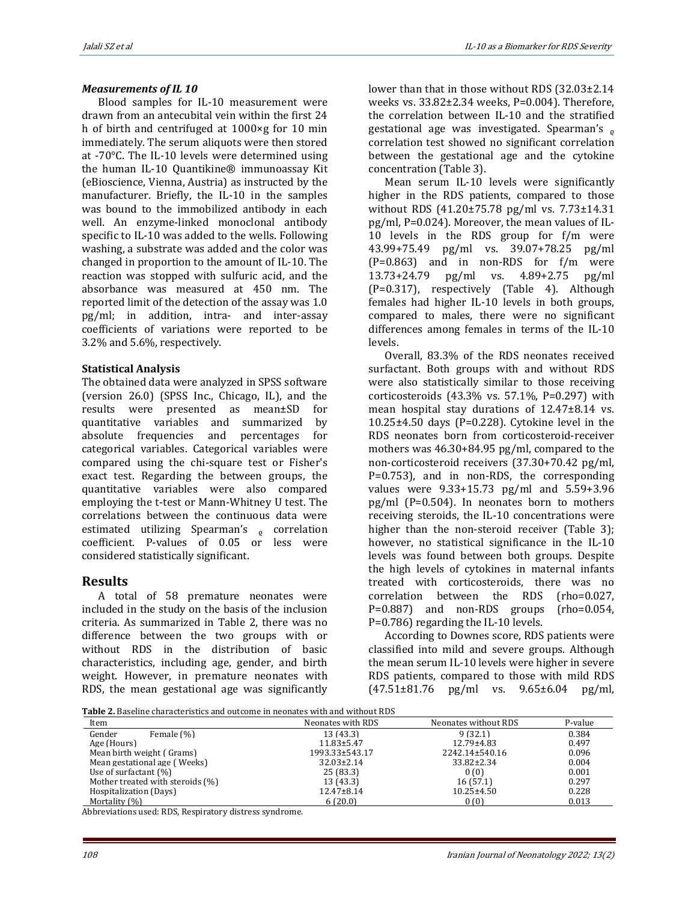#### *Measurements of IL 10*

Blood samples for IL-10 measurement were drawn from an antecubital vein within the first 24 h of birth and centrifuged at 1000×g for 10 min immediately. The serum aliquots were then stored at -70°C. The IL-10 levels were determined using the human IL-10 Quantikine® immunoassay Kit (eBioscience, Vienna, Austria) as instructed by the manufacturer. Briefly, the IL-10 in the samples was bound to the immobilized antibody in each well. An enzyme-linked monoclonal antibody specific to IL-10 was added to the wells. Following washing, a substrate was added and the color was changed in proportion to the amount of IL-10. The reaction was stopped with sulfuric acid, and the absorbance was measured at 450 nm. The reported limit of the detection of the assay was 1.0 pg/ml; in addition, intra- and inter-assay coefficients of variations were reported to be 3.2% and 5.6%, respectively.

#### **Statistical Analysis**

The obtained data were analyzed in SPSS software (version 26.0) (SPSS Inc., Chicago, IL), and the results were presented as mean±SD for quantitative variables and summarized by absolute frequencies and percentages for categorical variables. Categorical variables were compared using the chi-square test or Fisher's exact test. Regarding the between groups, the quantitative variables were also compared employing the t-test or Mann-Whitney U test. The correlations between the continuous data were estimated utilizing Spearman's <sub>o</sub> correlation coefficient. P-values of 0.05 or less were considered statistically significant.

## **Results**

A total of 58 premature neonates were included in the study on the basis of the inclusion criteria. As summarized in Table 2, there was no difference between the two groups with or without RDS in the distribution of basic characteristics, including age, gender, and birth weight. However, in premature neonates with RDS, the mean gestational age was significantly

lower than that in those without RDS (32.03±2.14 weeks vs. 33.82±2.34 weeks, P=0.004). Therefore, the correlation between IL-10 and the stratified gestational age was investigated. Spearman's  $\rho$ correlation test showed no significant correlation between the gestational age and the cytokine concentration (Table 3).

Mean serum IL-10 levels were significantly higher in the RDS patients, compared to those without RDS (41.20±75.78 pg/ml vs. 7.73±14.31 pg/ml, P=0.024). Moreover, the mean values of IL-10 levels in the RDS group for f/m were 43.99+75.49 pg/ml vs. 39.07+78.25 pg/ml (P=0.863) and in non-RDS for f/m were 13.73+24.79 pg/ml vs. 4.89+2.75 pg/ml (P=0.317), respectively (Table 4). Although females had higher IL-10 levels in both groups, compared to males, there were no significant differences among females in terms of the IL-10 levels.

Overall, 83.3% of the RDS neonates received surfactant. Both groups with and without RDS were also statistically similar to those receiving corticosteroids (43.3% vs. 57.1%, P=0.297) with mean hospital stay durations of 12.47±8.14 vs. 10.25±4.50 days (P=0.228). Cytokine level in the RDS neonates born from corticosteroid-receiver mothers was 46.30+84.95 pg/ml, compared to the non-corticosteroid receivers (37.30+70.42 pg/ml, P=0.753), and in non-RDS, the corresponding values were 9.33+15.73 pg/ml and 5.59+3.96 pg/ml (P=0.504). In neonates born to mothers receiving steroids, the IL-10 concentrations were higher than the non-steroid receiver (Table 3); however, no statistical significance in the IL-10 levels was found between both groups. Despite the high levels of cytokines in maternal infants treated with corticosteroids, there was no correlation between the RDS (rho=0.027, P=0.887) and non-RDS groups (rho=0.054, P=0.786) regarding the IL-10 levels.

According to Downes score, RDS patients were classified into mild and severe groups. Although the mean serum IL-10 levels were higher in severe RDS patients, compared to those with mild RDS (47.51±81.76 pg/ml vs. 9.65±6.04 pg/ml,

**Table 2.** Baseline characteristics and outcome in neonates with and without RDS

| Item                             | Neonates with RDS | Neonates without RDS | P-value |
|----------------------------------|-------------------|----------------------|---------|
| Gender<br>Female (%)             | 13 (43.3)         | 9 (32.1)             | 0.384   |
| Age (Hours)                      | $11.83 \pm 5.47$  | $12.79 \pm 4.83$     | 0.497   |
| Mean birth weight (Grams)        | 1993.33±543.17    | 2242.14±540.16       | 0.096   |
| Mean gestational age (Weeks)     | $32.03 \pm 2.14$  | $33.82 \pm 2.34$     | 0.004   |
| Use of surfactant $(\%)$         | 25(83.3)          | 0(0)                 | 0.001   |
| Mother treated with steroids (%) | 13 (43.3)         | 16(57.1)             | 0.297   |
| Hospitalization (Days)           | $12.47 \pm 8.14$  | $10.25 \pm 4.50$     | 0.228   |
| Mortality (%)                    | 6(20.0)           | 0(0)                 | 0.013   |

Abbreviations used: RDS, Respiratory distress syndrome.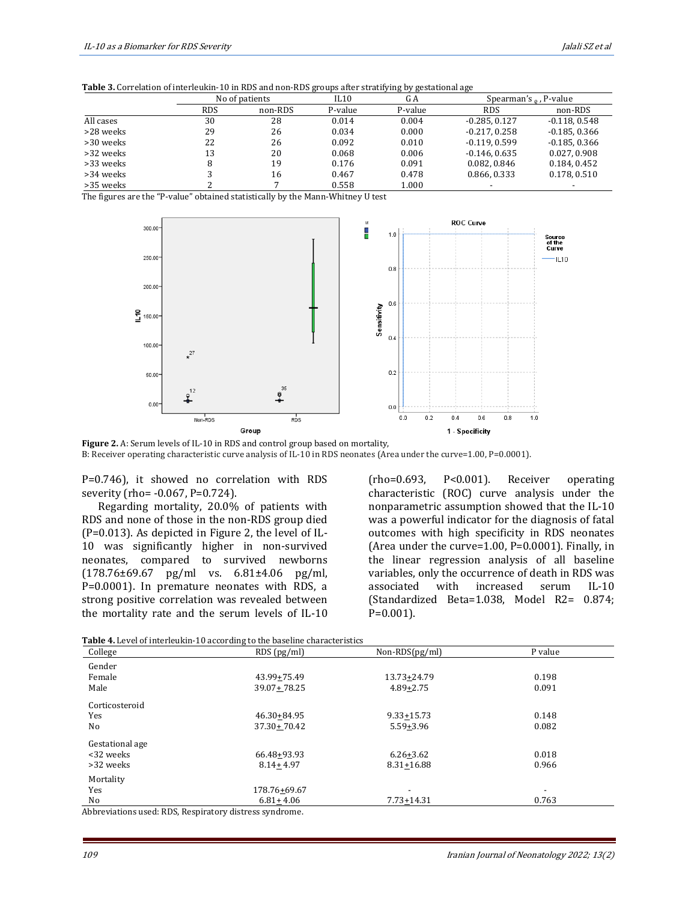**Table 3.** Correlation of interleukin-10 in RDS and non-RDS groups after stratifying by gestational age

|           |            |                | $\overline{\phantom{a}}$ | . . <i>.</i> . | ້                         |                 |
|-----------|------------|----------------|--------------------------|----------------|---------------------------|-----------------|
|           |            | No of patients | IL10                     | G A            | Spearman's $_0$ , P-value |                 |
|           | <b>RDS</b> | non-RDS        | P-value                  | P-value        | <b>RDS</b>                | non-RDS         |
| All cases | 30         | 28             | 0.014                    | 0.004          | $-0.285.0.127$            | $-0.118.0.548$  |
| >28 weeks | 29         | 26             | 0.034                    | 0.000          | $-0.217.0.258$            | $-0.185, 0.366$ |
| >30 weeks | 22         | 26             | 0.092                    | 0.010          | $-0.119.0.599$            | $-0.185, 0.366$ |
| >32 weeks | 13         | 20             | 0.068                    | 0.006          | $-0.146.0635$             | 0.027, 0.908    |
| >33 weeks |            | 19             | 0.176                    | 0.091          | 0.082, 0.846              | 0.184, 0.452    |
| >34 weeks |            | 16             | 0.467                    | 0.478          | 0.866, 0.333              | 0.178, 0.510    |
| >35 weeks |            |                | 0.558                    | 1.000          |                           |                 |

The figures are the "P-value" obtained statistically by the Mann-Whitney U test



**Figure 2.** A: Serum levels of IL-10 in RDS and control group based on mortality, B: Receiver operating characteristic curve analysis of IL-10 in RDS neonates (Area under the curve=1.00, P=0.0001).

P=0.746), it showed no correlation with RDS severity (rho= -0.067, P=0.724).

Regarding mortality, 20.0% of patients with RDS and none of those in the non-RDS group died (P=0.013). As depicted in Figure 2, the level of IL-10 was significantly higher in non-survived neonates, compared to survived newborns (178.76±69.67 pg/ml vs. 6.81±4.06 pg/ml, P=0.0001). In premature neonates with RDS, a strong positive correlation was revealed between the mortality rate and the serum levels of IL-10 (rho=0.693, P<0.001). Receiver operating characteristic (ROC) curve analysis under the nonparametric assumption showed that the IL-10 was a powerful indicator for the diagnosis of fatal outcomes with high specificity in RDS neonates (Area under the curve=1.00, P=0.0001). Finally, in the linear regression analysis of all baseline variables, only the occurrence of death in RDS was associated with increased serum IL-10 (Standardized Beta=1.038, Model R2= 0.874; P=0.001).

| College         | RDS(pg/ml)      | $Non-RDS(pg/ml)$         | P value                  |
|-----------------|-----------------|--------------------------|--------------------------|
| Gender          |                 |                          |                          |
| Female          | 43.99+75.49     | 13.73+24.79              | 0.198                    |
| Male            | 39.07+78.25     | $4.89 + 2.75$            | 0.091                    |
| Corticosteroid  |                 |                          |                          |
| Yes             | 46.30+84.95     | $9.33 + 15.73$           | 0.148                    |
| No              | $37.30 + 70.42$ | $5.59 + 3.96$            | 0.082                    |
| Gestational age |                 |                          |                          |
| <32 weeks       | 66.48+93.93     | $6.26 + 3.62$            | 0.018                    |
| >32 weeks       | $8.14 + 4.97$   | 8.31+16.88               | 0.966                    |
| Mortality       |                 |                          |                          |
| Yes             | 178.76+69.67    | $\overline{\phantom{0}}$ | $\overline{\phantom{0}}$ |
| No              | $6.81 + 4.06$   | $7.73 + 14.31$           | 0.763                    |

Abbreviations used: RDS, Respiratory distress syndrome.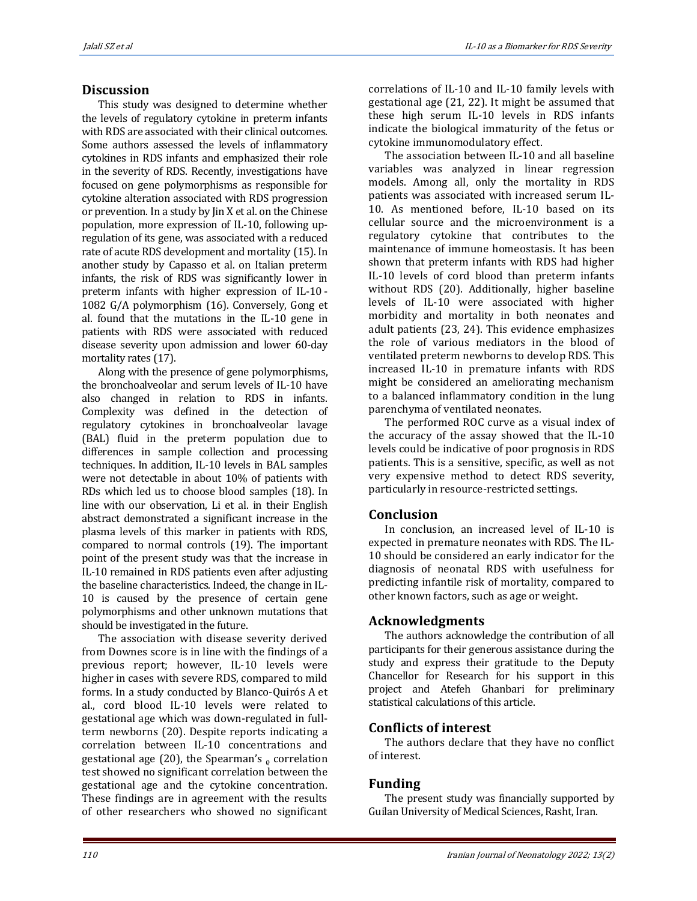## **Discussion**

This study was designed to determine whether the levels of regulatory cytokine in preterm infants with RDS are associated with their clinical outcomes. Some authors assessed the levels of inflammatory cytokines in RDS infants and emphasized their role in the severity of RDS. Recently, investigations have focused on gene polymorphisms as responsible for cytokine alteration associated with RDS progression or prevention. In a study by Jin X et al. on the Chinese population, more expression of IL-10, following upregulation of its gene, was associated with a reduced rate of acute RDS development and mortality (15). In another study by Capasso et al. on Italian preterm infants, the risk of RDS was significantly lower in preterm infants with higher expression of IL-10 - 1082 G/A polymorphism (16). Conversely, Gong et al. found that the mutations in the IL-10 gene in patients with RDS were associated with reduced disease severity upon admission and lower 60-day mortality rates (17).

Along with the presence of gene polymorphisms, the bronchoalveolar and serum levels of IL-10 have also changed in relation to RDS in infants. Complexity was defined in the detection of regulatory cytokines in bronchoalveolar lavage (BAL) fluid in the preterm population due to differences in sample collection and processing techniques. In addition, IL-10 levels in BAL samples were not detectable in about 10% of patients with RDs which led us to choose blood samples (18). In line with our observation, Li et al. in their English abstract demonstrated a significant increase in the plasma levels of this marker in patients with RDS, compared to normal controls (19). The important point of the present study was that the increase in IL-10 remained in RDS patients even after adjusting the baseline characteristics. Indeed, the change in IL-10 is caused by the presence of certain gene polymorphisms and other unknown mutations that should be investigated in the future.

The association with disease severity derived from Downes score is in line with the findings of a previous report; however, IL-10 levels were higher in cases with severe RDS, compared to mild forms. In a study conducted by Blanco-Quirós A et al., cord blood IL-10 levels were related to gestational age which was down-regulated in fullterm newborns (20). Despite reports indicating a correlation between IL-10 concentrations and gestational age  $(20)$ , the Spearman's  $_0$  correlation test showed no significant correlation between the gestational age and the cytokine concentration. These findings are in agreement with the results of other researchers who showed no significant

correlations of IL-10 and IL-10 family levels with gestational age (21, 22). It might be assumed that these high serum IL-10 levels in RDS infants indicate the biological immaturity of the fetus or cytokine immunomodulatory effect.

The association between IL-10 and all baseline variables was analyzed in linear regression models. Among all, only the mortality in RDS patients was associated with increased serum IL-10. As mentioned before, IL-10 based on its cellular source and the microenvironment is a regulatory cytokine that contributes to the maintenance of immune homeostasis. It has been shown that preterm infants with RDS had higher IL-10 levels of cord blood than preterm infants without RDS (20). Additionally, higher baseline levels of IL-10 were associated with higher morbidity and mortality in both neonates and adult patients (23, 24). This evidence emphasizes the role of various mediators in the blood of ventilated preterm newborns to develop RDS. This increased IL-10 in premature infants with RDS might be considered an ameliorating mechanism to a balanced inflammatory condition in the lung parenchyma of ventilated neonates.

The performed ROC curve as a visual index of the accuracy of the assay showed that the IL-10 levels could be indicative of poor prognosis in RDS patients. This is a sensitive, specific, as well as not very expensive method to detect RDS severity, particularly in resource-restricted settings.

## **Conclusion**

In conclusion, an increased level of IL-10 is expected in premature neonates with RDS. The IL-10 should be considered an early indicator for the diagnosis of neonatal RDS with usefulness for predicting infantile risk of mortality, compared to other known factors, such as age or weight.

## **Acknowledgments**

The authors acknowledge the contribution of all participants for their generous assistance during the study and express their gratitude to the Deputy Chancellor for Research for his support in this project and Atefeh Ghanbari for preliminary statistical calculations of this article.

## **Conflicts of interest**

The authors declare that they have no conflict of interest.

# **Funding**

The present study was financially supported by Guilan University of Medical Sciences, Rasht, Iran.